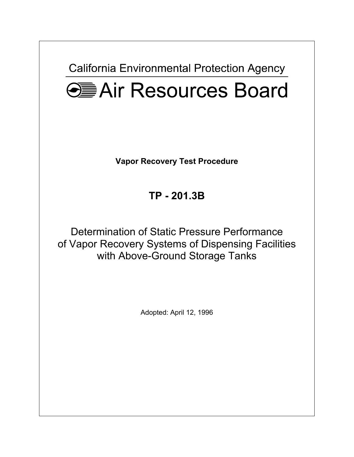**California Environmental Protection Agency** 



**Vapor Recovery Test Procedure** 

**TP - 201.3B** 

Determination of Static Pressure Performance of Vapor Recovery Systems of Dispensing Facilities with Above-Ground Storage Tanks

Adopted: April 12, 1996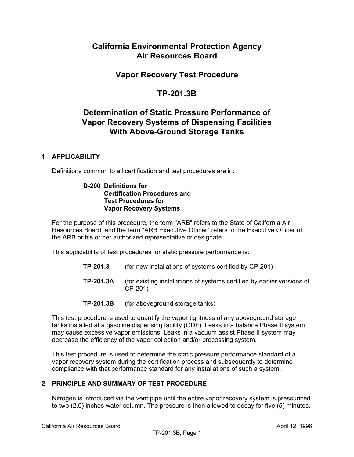# **California Environmental Protection Agency Air Resources Board**

# **Vapor Recovery Test Procedure**

# **[TP-201.3B](https://TP-201.3B)**

# **Determination of Static Pressure Performance of Vapor Recovery Systems of Dispensing Facilities With Above-Ground Storage Tanks**

### **1 APPLICABILITY**

Definitions common to all certification and test procedures are in:

### **D-200 Definitions for Certification Procedures and Test Procedures for Vapor Recovery Systems**

For the purpose of this procedure, the term "ARB" refers to the State of California Air Resources Board, and the term "ARB Executive Officer" refers to the Executive Officer of the ARB or his or her authorized representative or designate.

This applicability of test procedures for static pressure performance is:

- **TP-201.3** (for new installations of systems certified by CP-201)
- **[TP-201.3A](https://TP-201.3A)** (for existing installations of systems certified by earlier versions of CP-201)
- **[TP-201.3B](https://TP-201.3B)** (for aboveground storage tanks)

This test procedure is used to quantify the vapor tightness of any aboveground storage tanks installed at a gasoline dispensing facility (GDF). Leaks in a balance Phase II system may cause excessive vapor emissions. Leaks in a vacuum assist Phase II system may decrease the efficiency of the vapor collection and/or processing system.

This test procedure is used to determine the static pressure performance standard of a vapor recovery system during the certification process and subsequently to determine compliance with that performance standard for any installations of such a system.

## **2 PRINCIPLE AND SUMMARY OF TEST PROCEDURE**

Nitrogen is introduced via the vent pipe until the entire vapor recovery system is pressurized to two (2.0) inches water column. The pressure is then allowed to decay for five (5) minutes.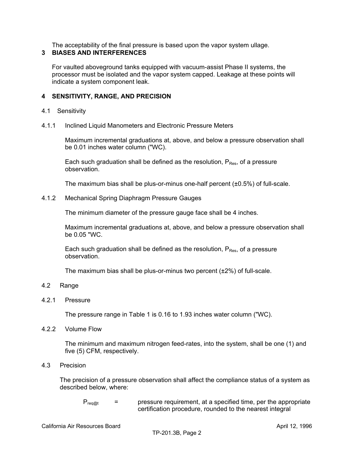The acceptability of the final pressure is based upon the vapor system ullage.

## **3 BIASES AND INTERFERENCES**

For vaulted aboveground tanks equipped with vacuum-assist Phase II systems, the processor must be isolated and the vapor system capped. Leakage at these points will indicate a system component leak.

## **4 SENSITIVITY, RANGE, AND PRECISION**

## 4.1 Sensitivity

4.1.1 Inclined Liquid Manometers and Electronic Pressure Meters

Maximum incremental graduations at, above, and below a pressure observation shall be 0.01 inches water column ("WC).

Each such graduation shall be defined as the resolution,  $P_{Res}$ , of a pressure observation.

The maximum bias shall be plus-or-minus one-half percent  $(\pm 0.5\%)$  of full-scale.

4.1.2 Mechanical Spring Diaphragm Pressure Gauges

The minimum diameter of the pressure gauge face shall be 4 inches.

Maximum incremental graduations at, above, and below a pressure observation shall be 0.05 "WC.

Each such graduation shall be defined as the resolution,  $P_{Res}$ , of a pressure observation.

The maximum bias shall be plus-or-minus two percent  $(\pm 2\%)$  of full-scale.

- 4.2 Range
- 4.2.1 Pressure

The pressure range in Table 1 is 0.16 to 1.93 inches water column ("WC).

4.2.2 Volume Flow

The minimum and maximum nitrogen feed-rates, into the system, shall be one (1) and five (5) CFM, respectively.

4.3 Precision

The precision of a pressure observation shall affect the compliance status of a system as described below, where:

 $P_{\text{real}}$  = pressure requirement, at a specified time, per the appropriate certification procedure, rounded to the nearest integral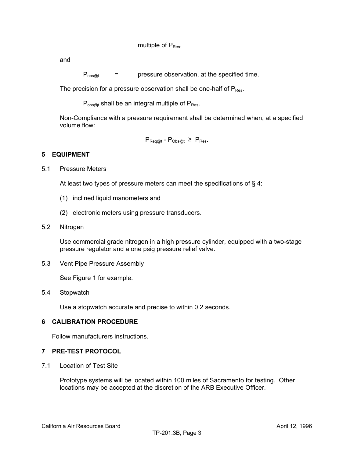and

 $P_{\text{obs@t}}$  = pressure observation, at the specified time.

The precision for a pressure observation shall be one-half of  $P_{Res}$ .

 $P_{obs@t}$  shall be an integral multiple of  $P_{Res}$ .

Non-Compliance with a pressure requirement shall be determined when, at a specified volume flow:

 $P_{\text{Reg@t}}$  -  $P_{\text{Obs@t}} \geq P_{\text{Res}}$ .

### **5 EQUIPMENT**

5.1 Pressure Meters

At least two types of pressure meters can meet the specifications of § 4:

- (1) inclined liquid manometers and
- (2) electronic meters using pressure transducers.
- 5.2 Nitrogen

Use commercial grade nitrogen in a high pressure cylinder, equipped with a two-stage pressure regulator and a one psig pressure relief valve.

5.3 Vent Pipe Pressure Assembly

See Figure 1 for example.

5.4 Stopwatch

Use a stopwatch accurate and precise to within 0.2 seconds.

### **6 CALIBRATION PROCEDURE**

Follow manufacturers instructions.

### **7 PRE-TEST PROTOCOL**

7.1 Location of Test Site

Prototype systems will be located within 100 miles of Sacramento for testing. Other locations may be accepted at the discretion of the ARB Executive Officer.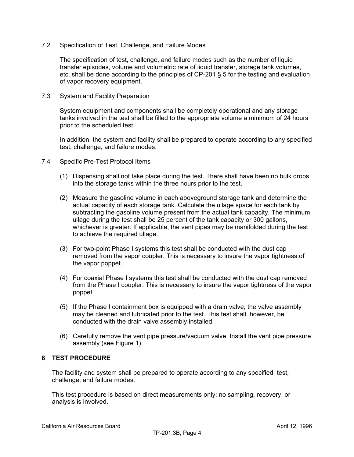### 7.2 Specification of Test, Challenge, and Failure Modes

The specification of test, challenge, and failure modes such as the number of liquid transfer episodes, volume and volumetric rate of liquid transfer, storage tank volumes, etc. shall be done according to the principles of CP-201 § 5 for the testing and evaluation of vapor recovery equipment.

7.3 System and Facility Preparation

System equipment and components shall be completely operational and any storage tanks involved in the test shall be filled to the appropriate volume a minimum of 24 hours prior to the scheduled test.

In addition, the system and facility shall be prepared to operate according to any specified test, challenge, and failure modes.

- 7.4 Specific Pre-Test Protocol Items
	- (1) Dispensing shall not take place during the test. There shall have been no bulk drops into the storage tanks within the three hours prior to the test.
	- (2) Measure the gasoline volume in each aboveground storage tank and determine the actual capacity of each storage tank. Calculate the ullage space for each tank by subtracting the gasoline volume present from the actual tank capacity. The minimum ullage during the test shall be 25 percent of the tank capacity or 300 gallons, whichever is greater. If applicable, the vent pipes may be manifolded during the test to achieve the required ullage.
	- (3) For two-point Phase I systems this test shall be conducted with the dust cap removed from the vapor coupler. This is necessary to insure the vapor tightness of the vapor poppet.
	- (4) For coaxial Phase I systems this test shall be conducted with the dust cap removed from the Phase I coupler. This is necessary to insure the vapor tightness of the vapor poppet.
	- (5) If the Phase I containment box is equipped with a drain valve, the valve assembly may be cleaned and lubricated prior to the test. This test shall, however, be conducted with the drain valve assembly installed.
	- (6) Carefully remove the vent pipe pressure/vacuum valve. Install the vent pipe pressure assembly (see Figure 1).

### **8 TEST PROCEDURE**

The facility and system shall be prepared to operate according to any specified test, challenge, and failure modes.

This test procedure is based on direct measurements only; no sampling, recovery, or analysis is involved.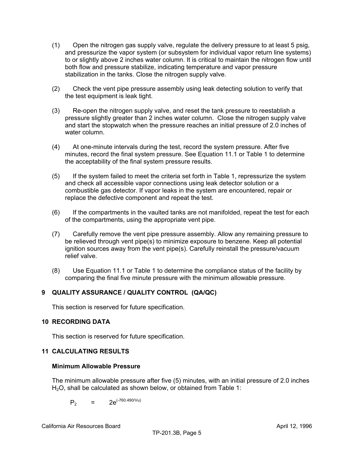- (1) Open the nitrogen gas supply valve, regulate the delivery pressure to at least 5 psig, and pressurize the vapor system (or subsystem for individual vapor return line systems) to or slightly above 2 inches water column. It is critical to maintain the nitrogen flow until both flow and pressure stabilize, indicating temperature and vapor pressure stabilization in the tanks. Close the nitrogen supply valve.
- (2) Check the vent pipe pressure assembly using leak detecting solution to verify that the test equipment is leak tight.
- (3) Re-open the nitrogen supply valve, and reset the tank pressure to reestablish a pressure slightly greater than 2 inches water column. Close the nitrogen supply valve and start the stopwatch when the pressure reaches an initial pressure of 2.0 inches of water column.
- (4) At one-minute intervals during the test, record the system pressure. After five minutes, record the final system pressure. See Equation 11.1 or Table 1 to determine the acceptability of the final system pressure results.
- (5) If the system failed to meet the criteria set forth in Table 1, repressurize the system and check all accessible vapor connections using leak detector solution or a combustible gas detector. If vapor leaks in the system are encountered, repair or replace the defective component and repeat the test.
- (6) If the compartments in the vaulted tanks are not manifolded, repeat the test for each of the compartments, using the appropriate vent pipe.
- (7) Carefully remove the vent pipe pressure assembly. Allow any remaining pressure to be relieved through vent pipe(s) to minimize exposure to benzene. Keep all potential ignition sources away from the vent pipe(s). Carefully reinstall the pressure/vacuum relief valve.
- (8) Use Equation 11.1 or Table 1 to determine the compliance status of the facility by comparing the final five minute pressure with the minimum allowable pressure.

# **9 QUALITY ASSURANCE / QUALITY CONTROL (QA/QC)**

This section is reserved for future specification.

## **10 RECORDING DATA**

This section is reserved for future specification.

## **11 CALCULATING RESULTS**

### **Minimum Allowable Pressure**

The minimum allowable pressure after five (5) minutes, with an initial pressure of 2.0 inches H<sub>2</sub>O, shall be calculated as shown below, or obtained from Table 1:

$$
P_2 = 2e^{(-760.490/Vu)}
$$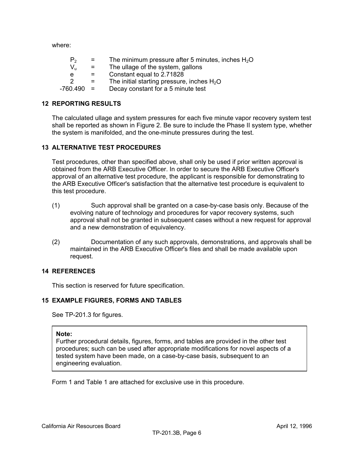where:

| P <sub>2</sub> | $=$ | The minimum pressure after 5 minutes, inches $H_2O$ |
|----------------|-----|-----------------------------------------------------|
| V.             | $=$ | The ullage of the system, gallons                   |
| e              | $=$ | Constant equal to 2.71828                           |
| 2              | $=$ | The initial starting pressure, inches $H_2O$        |
| -760.490       | $=$ | Decay constant for a 5 minute test                  |

### **12 REPORTING RESULTS**

The calculated ullage and system pressures for each five minute vapor recovery system test shall be reported as shown in Figure 2. Be sure to include the Phase II system type, whether the system is manifolded, and the one-minute pressures during the test.

### **13 ALTERNATIVE TEST PROCEDURES**

Test procedures, other than specified above, shall only be used if prior written approval is obtained from the ARB Executive Officer. In order to secure the ARB Executive Officer's approval of an alternative test procedure, the applicant is responsible for demonstrating to the ARB Executive Officer's satisfaction that the alternative test procedure is equivalent to this test procedure.

- (1) Such approval shall be granted on a case-by-case basis only. Because of the evolving nature of technology and procedures for vapor recovery systems, such approval shall not be granted in subsequent cases without a new request for approval and a new demonstration of equivalency.
- (2) Documentation of any such approvals, demonstrations, and approvals shall be maintained in the ARB Executive Officer's files and shall be made available upon request.

### **14 REFERENCES**

This section is reserved for future specification.

### **15 EXAMPLE FIGURES, FORMS AND TABLES**

See TP-201.3 for figures.

#### **Note:**

Further procedural details, figures, forms, and tables are provided in the other test procedures; such can be used after appropriate modifications for novel aspects of a tested system have been made, on a case-by-case basis, subsequent to an engineering evaluation.

Form 1 and Table 1 are attached for exclusive use in this procedure.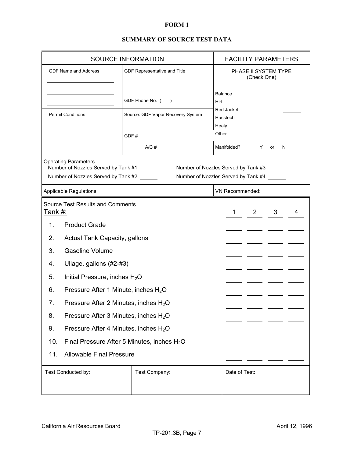### **FORM 1**

# **SUMMARY OF SOURCE TEST DATA**

|                                                                                                                                                          | SOURCE INFORMATION                                | <b>FACILITY PARAMETERS</b>        |                                     |  |  |  |
|----------------------------------------------------------------------------------------------------------------------------------------------------------|---------------------------------------------------|-----------------------------------|-------------------------------------|--|--|--|
| <b>GDF Name and Address</b>                                                                                                                              |                                                   | GDF Representative and Title      | PHASE II SYSTEM TYPE<br>(Check One) |  |  |  |
|                                                                                                                                                          |                                                   | GDF Phone No. (<br>$\rightarrow$  | <b>Balance</b><br>Hirt              |  |  |  |
| <b>Permit Conditions</b>                                                                                                                                 |                                                   | Source: GDF Vapor Recovery System | Red Jacket<br>Hasstech              |  |  |  |
|                                                                                                                                                          |                                                   | GDF#                              | Healy<br>Other                      |  |  |  |
|                                                                                                                                                          |                                                   | $A/C$ #                           | Manifolded?<br>Y<br>N<br>or         |  |  |  |
| <b>Operating Parameters</b>                                                                                                                              |                                                   |                                   |                                     |  |  |  |
| Number of Nozzles Served by Tank #1<br>Number of Nozzles Served by Tank #3<br>Number of Nozzles Served by Tank #2<br>Number of Nozzles Served by Tank #4 |                                                   |                                   |                                     |  |  |  |
|                                                                                                                                                          | Applicable Regulations:                           |                                   | VN Recommended:                     |  |  |  |
| <u>Tank #:</u>                                                                                                                                           | <b>Source Test Results and Comments</b>           | 1<br>$2^{\circ}$<br>3<br>4        |                                     |  |  |  |
| $\mathbf{1}$ .                                                                                                                                           | <b>Product Grade</b>                              |                                   |                                     |  |  |  |
| 2.                                                                                                                                                       | <b>Actual Tank Capacity, gallons</b>              |                                   |                                     |  |  |  |
| 3.                                                                                                                                                       | <b>Gasoline Volume</b>                            |                                   |                                     |  |  |  |
| 4.                                                                                                                                                       | Ullage, gallons (#2-#3)                           |                                   |                                     |  |  |  |
| 5.                                                                                                                                                       | Initial Pressure, inches $H_2O$                   |                                   |                                     |  |  |  |
| 6.                                                                                                                                                       | Pressure After 1 Minute, inches H <sub>2</sub> O  |                                   |                                     |  |  |  |
| 7.                                                                                                                                                       | Pressure After 2 Minutes, inches $H_2O$           |                                   |                                     |  |  |  |
| 8.                                                                                                                                                       | Pressure After 3 Minutes, inches $H_2O$           |                                   |                                     |  |  |  |
| 9.                                                                                                                                                       | Pressure After 4 Minutes, inches H <sub>2</sub> O |                                   |                                     |  |  |  |
| 10.                                                                                                                                                      | Final Pressure After 5 Minutes, inches $H_2O$     |                                   |                                     |  |  |  |
| 11.<br><b>Allowable Final Pressure</b>                                                                                                                   |                                                   |                                   |                                     |  |  |  |
| Test Conducted by:                                                                                                                                       |                                                   | Test Company:                     | Date of Test:                       |  |  |  |
|                                                                                                                                                          |                                                   |                                   |                                     |  |  |  |